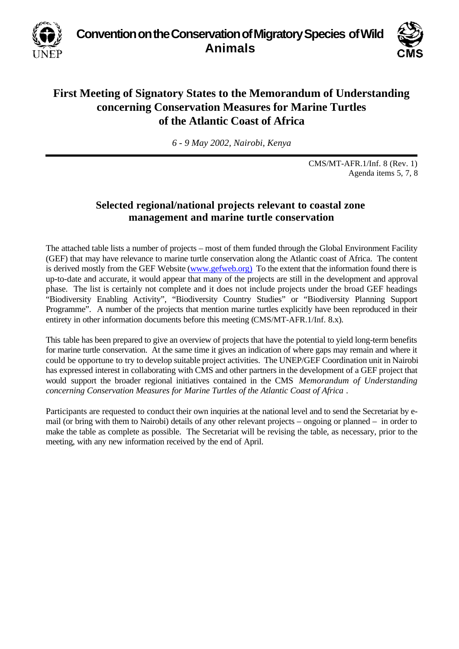**Convention on the Conservation of Migratory Species of Wild Animals**



## **First Meeting of Signatory States to the Memorandum of Understanding concerning Conservation Measures for Marine Turtles of the Atlantic Coast of Africa**

*6 - 9 May 2002, Nairobi, Kenya*

CMS/MT-AFR.1/Inf. 8 (Rev. 1) Agenda items 5, 7, 8

## **Selected regional/national projects relevant to coastal zone management and marine turtle conservation**

The attached table lists a number of projects – most of them funded through the Global Environment Facility (GEF) that may have relevance to marine turtle conservation along the Atlantic coast of Africa. The content is derived mostly from the GEF Website (www.gefweb.org) To the extent that the information found there is up-to-date and accurate, it would appear that many of the projects are still in the development and approval phase. The list is certainly not complete and it does not include projects under the broad GEF headings "Biodiversity Enabling Activity", "Biodiversity Country Studies" or "Biodiversity Planning Support Programme". A number of the projects that mention marine turtles explicitly have been reproduced in their entirety in other information documents before this meeting (CMS/MT-AFR.1/Inf. 8.x).

This table has been prepared to give an overview of projects that have the potential to yield long-term benefits for marine turtle conservation. At the same time it gives an indication of where gaps may remain and where it could be opportune to try to develop suitable project activities. The UNEP/GEF Coordination unit in Nairobi has expressed interest in collaborating with CMS and other partners in the development of a GEF project that would support the broader regional initiatives contained in the CMS *Memorandum of Understanding concerning Conservation Measures for Marine Turtles of the Atlantic Coast of Africa .*

Participants are requested to conduct their own inquiries at the national level and to send the Secretariat by email (or bring with them to Nairobi) details of any other relevant projects – ongoing or planned – in order to make the table as complete as possible. The Secretariat will be revising the table, as necessary, prior to the meeting, with any new information received by the end of April.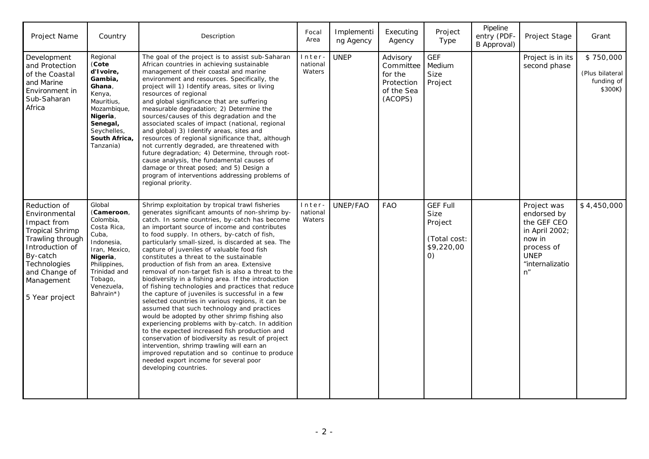| Project Name                                                                                                                                                                               | Country                                                                                                                                                                    | Description                                                                                                                                                                                                                                                                                                                                                                                                                                                                                                                                                                                                                                                                                                                                                                                                                                                                                                                                                                                                                                                                                                                                           | Focal<br>Area               | Implementi<br>ng Agency | Executing<br>Agency                                                     | Project<br>Type                                                                              | Pipeline<br>entry (PDF-<br>B Approval) | Project Stage                                                                                                                | Grant                                                 |
|--------------------------------------------------------------------------------------------------------------------------------------------------------------------------------------------|----------------------------------------------------------------------------------------------------------------------------------------------------------------------------|-------------------------------------------------------------------------------------------------------------------------------------------------------------------------------------------------------------------------------------------------------------------------------------------------------------------------------------------------------------------------------------------------------------------------------------------------------------------------------------------------------------------------------------------------------------------------------------------------------------------------------------------------------------------------------------------------------------------------------------------------------------------------------------------------------------------------------------------------------------------------------------------------------------------------------------------------------------------------------------------------------------------------------------------------------------------------------------------------------------------------------------------------------|-----------------------------|-------------------------|-------------------------------------------------------------------------|----------------------------------------------------------------------------------------------|----------------------------------------|------------------------------------------------------------------------------------------------------------------------------|-------------------------------------------------------|
| Development<br>and Protection<br>of the Coastal<br>and Marine<br>Environment in<br>Sub-Saharan<br>Africa                                                                                   | Regional<br>(Cote<br>d'Ivoire,<br>Gambia,<br>Ghana,<br>Kenya,<br>Mauritius,<br>Mozambique,<br>Nigeria,<br>Senegal,<br>Seychelles,<br>South Africa,<br>Tanzania)            | The goal of the project is to assist sub-Saharan<br>African countries in achieving sustainable<br>management of their coastal and marine<br>environment and resources. Specifically, the<br>project will 1) Identify areas, sites or living<br>resources of regional<br>and global significance that are suffering<br>measurable degradation; 2) Determine the<br>sources/causes of this degradation and the<br>associated scales of impact (national, regional<br>and global) 3) Identify areas, sites and<br>resources of regional significance that, although<br>not currently degraded, are threatened with<br>future degradation; 4) Determine, through root-<br>cause analysis, the fundamental causes of<br>damage or threat posed; and 5) Design a<br>program of interventions addressing problems of<br>regional priority.                                                                                                                                                                                                                                                                                                                   | Inter<br>national<br>Waters | <b>UNEP</b>             | Advisory<br>Committee<br>for the<br>Protection<br>of the Sea<br>(ACOPS) | <b>GEF</b><br>Medium<br><b>Size</b><br>Project                                               |                                        | Project is in its<br>second phase                                                                                            | \$750,000<br>(Plus bilateral<br>funding of<br>\$300K) |
| Reduction of<br>Environmental<br>Impact from<br><b>Tropical Shrimp</b><br>Trawling through<br>Introduction of<br>By-catch<br>Technologies<br>and Change of<br>Management<br>5 Year project | Global<br>(Cameroon,<br>Colombia,<br>Costa Rica,<br>Cuba,<br>Indonesia,<br>Iran, Mexico,<br>Nigeria,<br>Philippines,<br>Trinidad and<br>Tobago,<br>Venezuela,<br>Bahrain*) | Shrimp exploitation by tropical trawl fisheries<br>generates significant amounts of non-shrimp by-<br>catch. In some countries, by-catch has become<br>an important source of income and contributes<br>to food supply. In others, by-catch of fish,<br>particularly small-sized, is discarded at sea. The<br>capture of juveniles of valuable food fish<br>constitutes a threat to the sustainable<br>production of fish from an area. Extensive<br>removal of non-target fish is also a threat to the<br>biodiversity in a fishing area. If the introduction<br>of fishing technologies and practices that reduce<br>the capture of juveniles is successful in a few<br>selected countries in various regions, it can be<br>assumed that such technology and practices<br>would be adopted by other shrimp fishing also<br>experiencing problems with by-catch. In addition<br>to the expected increased fish production and<br>conservation of biodiversity as result of project<br>intervention, shrimp trawling will earn an<br>improved reputation and so continue to produce<br>needed export income for several poor<br>developing countries. | Inter<br>national<br>Waters | UNEP/FAO                | <b>FAO</b>                                                              | <b>GEF Full</b><br><b>Size</b><br>Project<br>(Total cost:<br>\$9,220,00<br>$\left( 0\right)$ |                                        | Project was<br>endorsed by<br>the GEF CEO<br>in April 2002;<br>now in<br>process of<br><b>UNEP</b><br>"internalizatio<br>n'' | \$4,450,000                                           |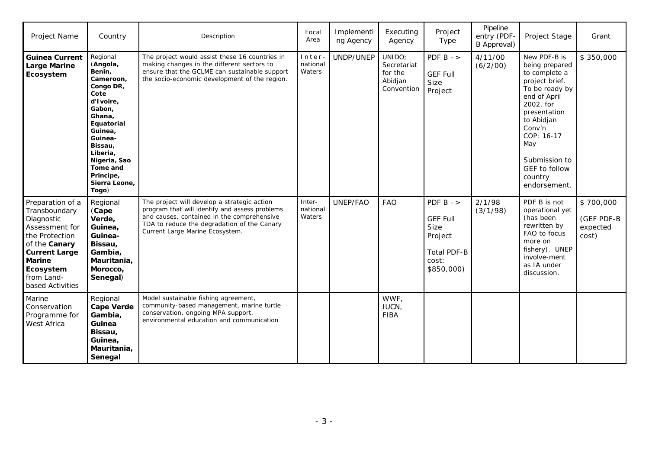| Project Name                                                                                                                                                                                 | Country                                                                                                                                                                                                                         | Description                                                                                                                                                                                                                   | Focal<br>Area                | Implementi<br>ng Agency | Executing<br>Agency                                       | Project<br>Type                                                                                        | Pipeline<br>entry (PDF-<br>B Approval) | Project Stage                                                                                                                                                                                                                              | Grant                                        |
|----------------------------------------------------------------------------------------------------------------------------------------------------------------------------------------------|---------------------------------------------------------------------------------------------------------------------------------------------------------------------------------------------------------------------------------|-------------------------------------------------------------------------------------------------------------------------------------------------------------------------------------------------------------------------------|------------------------------|-------------------------|-----------------------------------------------------------|--------------------------------------------------------------------------------------------------------|----------------------------------------|--------------------------------------------------------------------------------------------------------------------------------------------------------------------------------------------------------------------------------------------|----------------------------------------------|
| <b>Guinea Current</b><br><b>Large Marine</b><br>Ecosystem                                                                                                                                    | Regional<br>(Angola,<br>Benin,<br>Cameroon,<br>Congo DR,<br>Cote<br>d'Ivoire,<br>Gabon,<br>Ghana,<br>Equatorial<br>Guinea,<br>Guinea-<br>Bissau,<br>Liberia,<br>Nigeria, Sao<br>Tome and<br>Principe,<br>Sierra Leone,<br>Togo) | The project would assist these 16 countries in<br>making changes in the different sectors to<br>ensure that the GCLME can sustainable support<br>the socio-economic development of the region.                                | Inter<br>national<br>Waters  | UNDP/UNEP               | UNIDO;<br>Secretariat<br>for the<br>Abidjan<br>Convention | PDF $B \rightarrow$<br><b>GEF Full</b><br>Size<br>Project                                              | 4/11/00<br>(6/2/00)                    | New PDF-B is<br>being prepared<br>to complete a<br>project brief.<br>To be ready by<br>end of April<br>2002, for<br>presentation<br>to Abidjan<br>Conv'n<br>COP: 16-17<br>May<br>Submission to<br>GEF to follow<br>country<br>endorsement. | \$350,000                                    |
| Preparation of a<br>Transboundary<br>Diagnostic<br>Assessment for<br>the Protection<br>of the Canary<br><b>Current Large</b><br><b>Marine</b><br>Ecosystem<br>from Land-<br>based Activities | Regional<br>(Cape<br>Verde,<br>Guinea,<br>Guinea-<br>Bissau,<br>Gambia,<br>Mauritania,<br>Morocco,<br>Senegal)                                                                                                                  | The project will develop a strategic action<br>program that will identify and assess problems<br>and causes, contained in the comprehensive<br>TDA to reduce the degradation of the Canary<br>Current Large Marine Ecosystem. | Inter-<br>national<br>Waters | UNEP/FAO                | <b>FAO</b>                                                | PDF $B \rightarrow$<br><b>GEF Full</b><br>Size<br>Project<br><b>Total PDF-B</b><br>cost:<br>\$850,000) | 2/1/98<br>(3/1/98)                     | PDF B is not<br>operational yet<br>(has been<br>rewritten by<br>FAO to focus<br>more on<br>fishery). UNEP<br>involve-ment<br>as IA under<br>discussion.                                                                                    | \$700,000<br>(GEF PDF-B<br>expected<br>cost) |
| Marine<br>Conservation<br>Programme for<br>West Africa                                                                                                                                       | Regional<br><b>Cape Verde</b><br>Gambia,<br>Guinea<br>Bissau,<br>Guinea,<br>Mauritania,<br>Senegal                                                                                                                              | Model sustainable fishing agreement,<br>community-based management, marine turtle<br>conservation, ongoing MPA support,<br>environmental education and communication                                                          |                              |                         | WWF,<br>IUCN,<br><b>FIBA</b>                              |                                                                                                        |                                        |                                                                                                                                                                                                                                            |                                              |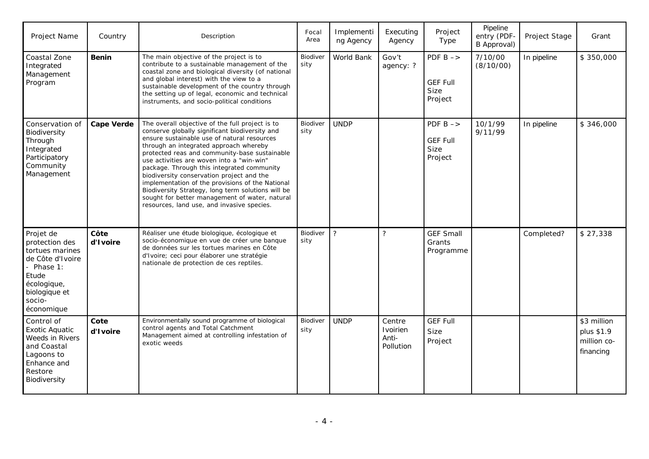| <b>Project Name</b>                                                                                                                             | Country           | Description                                                                                                                                                                                                                                                                                                                                                                                                                                                                                                                                                                                   | Focal<br>Area    | Implementi<br>ng Agency | Executing<br>Agency                      | Project<br>Type                                                  | Pipeline<br>entry (PDF-<br>B Approval) | Project Stage | Grant                                                 |
|-------------------------------------------------------------------------------------------------------------------------------------------------|-------------------|-----------------------------------------------------------------------------------------------------------------------------------------------------------------------------------------------------------------------------------------------------------------------------------------------------------------------------------------------------------------------------------------------------------------------------------------------------------------------------------------------------------------------------------------------------------------------------------------------|------------------|-------------------------|------------------------------------------|------------------------------------------------------------------|----------------------------------------|---------------|-------------------------------------------------------|
| Coastal Zone<br>Integrated<br>Management<br>Program                                                                                             | <b>Benin</b>      | The main objective of the project is to<br>contribute to a sustainable management of the<br>coastal zone and biological diversity (of national<br>and global interest) with the view to a<br>sustainable development of the country through<br>the setting up of legal, economic and technical<br>instruments, and socio-political conditions                                                                                                                                                                                                                                                 | Biodiver<br>sity | World Bank              | Gov't<br>agency: ?                       | PDF $B \rightarrow$<br><b>GEF Full</b><br><b>Size</b><br>Project | 7/10/00<br>(8/10/00)                   | In pipeline   | \$350,000                                             |
| Conservation of<br>Biodiversity<br>Through<br>Integrated<br>Participatory<br>Community<br>Management                                            | <b>Cape Verde</b> | The overall objective of the full project is to<br>conserve globally significant biodiversity and<br>ensure sustainable use of natural resources<br>through an integrated approach whereby<br>protected reas and community-base sustainable<br>use activities are woven into a "win-win"<br>package. Through this integrated community<br>biodiversity conservation project and the<br>implementation of the provisions of the National<br>Biodiversity Strategy, long term solutions will be<br>sought for better management of water, natural<br>resources, land use, and invasive species. | Biodiver<br>sity | <b>UNDP</b>             |                                          | PDF $B \rightarrow$<br><b>GEF Full</b><br>Size<br>Project        | 10/1/99<br>9/11/99                     | In pipeline   | \$346,000                                             |
| Projet de<br>protection des<br>tortues marines<br>de Côte d'Ivoire<br>Phase 1:<br>Etude<br>écologique,<br>biologique et<br>socio-<br>économique | Côte<br>d'Ivoire  | Réaliser une étude biologique, écologique et<br>socio-économique en vue de créer une banque<br>de données sur les tortues marines en Côte<br>d'Ivoire; ceci pour élaborer une stratégie<br>nationale de protection de ces reptiles.                                                                                                                                                                                                                                                                                                                                                           | Biodiver<br>sity | $\overline{?}$          | $\overline{\phantom{a}}$                 | <b>GEF Small</b><br>Grants<br>Programme                          |                                        | Completed?    | \$27,338                                              |
| Control of<br><b>Exotic Aquatic</b><br><b>Weeds in Rivers</b><br>and Coastal<br>Lagoons to<br>Enhance and<br>Restore<br>Biodiversity            | Cote<br>d'Ivoire  | Environmentally sound programme of biological<br>control agents and Total Catchment<br>Management aimed at controlling infestation of<br>exotic weeds                                                                                                                                                                                                                                                                                                                                                                                                                                         | Biodiver<br>sity | <b>UNDP</b>             | Centre<br>Ivoirien<br>Anti-<br>Pollution | <b>GEF Full</b><br>Size<br>Project                               |                                        |               | \$3 million<br>plus \$1.9<br>million co-<br>financing |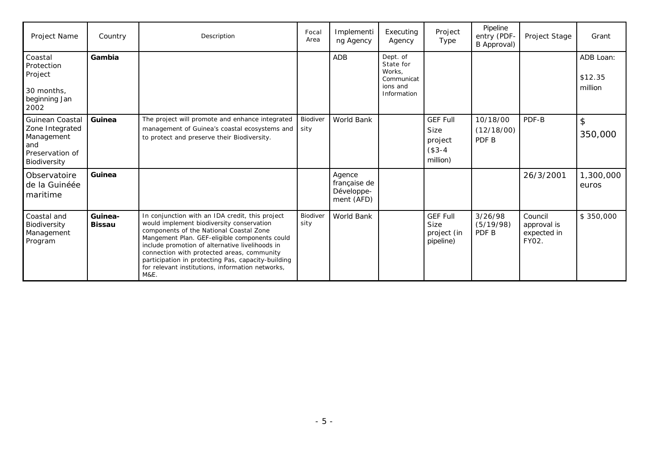| Project Name                                                                                      | Country                  | Description                                                                                                                                                                                                                                                                                                                                                                                                 | Focal<br>Area    | Implementi<br>ng Agency                            | Executing<br>Agency                                                      | Project<br>Type                                                   | Pipeline<br>entry (PDF-<br>B Approval) | Project Stage                                  | Grant                           |
|---------------------------------------------------------------------------------------------------|--------------------------|-------------------------------------------------------------------------------------------------------------------------------------------------------------------------------------------------------------------------------------------------------------------------------------------------------------------------------------------------------------------------------------------------------------|------------------|----------------------------------------------------|--------------------------------------------------------------------------|-------------------------------------------------------------------|----------------------------------------|------------------------------------------------|---------------------------------|
| Coastal<br>Protection<br>Project<br>30 months,<br>beginning Jan<br>2002                           | Gambia                   |                                                                                                                                                                                                                                                                                                                                                                                                             |                  | <b>ADB</b>                                         | Dept. of<br>State for<br>Works.<br>Communicat<br>ions and<br>Information |                                                                   |                                        |                                                | ADB Loan:<br>\$12.35<br>million |
| <b>Guinean Coastal</b><br>Zone Integrated<br>Management<br>and<br>Preservation of<br>Biodiversity | Guinea                   | The project will promote and enhance integrated<br>management of Guinea's coastal ecosystems and<br>to protect and preserve their Biodiversity.                                                                                                                                                                                                                                                             | Biodiver<br>sity | World Bank                                         |                                                                          | <b>GEF Full</b><br><b>Size</b><br>project<br>$($3-4)$<br>million) | 10/18/00<br>(12/18/00)<br>PDF B        | PDF-B                                          | $\mathfrak{D}$<br>350,000       |
| Observatoire<br>de la Guinéée<br>maritime                                                         | Guinea                   |                                                                                                                                                                                                                                                                                                                                                                                                             |                  | Agence<br>française de<br>Développe-<br>ment (AFD) |                                                                          |                                                                   |                                        | 26/3/2001                                      | 1,300,000<br>euros              |
| Coastal and<br>Biodiversity<br>Management<br>Program                                              | Guinea-<br><b>Bissau</b> | In conjunction with an IDA credit, this project<br>would implement biodiversity conservation<br>components of the National Coastal Zone<br>Mangement Plan. GEF-eligible components could<br>include promotion of alternative livelihoods in<br>connection with protected areas, community<br>participation in protecting Pas, capacity-building<br>for relevant institutions, information networks,<br>M&E. | Biodiver<br>sity | World Bank                                         |                                                                          | <b>GEF Full</b><br>Size<br>project (in<br>pipeline)               | 3/26/98<br>(5/19/98)<br>PDF B          | Council<br>approval is<br>expected in<br>FY02. | \$350,000                       |